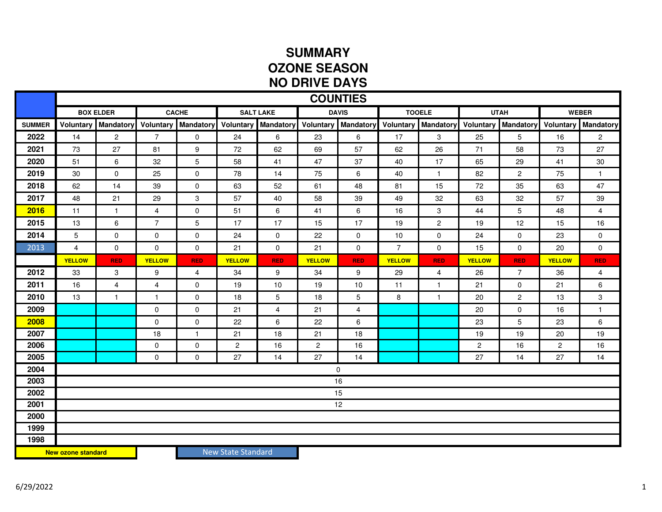## **SUMMARY OZONE SEASONNO DRIVE DAYS**

|                           | <b>COUNTIES</b>  |                  |                |                            |                    |                |                |                |                |                            |                |                  |                |                |
|---------------------------|------------------|------------------|----------------|----------------------------|--------------------|----------------|----------------|----------------|----------------|----------------------------|----------------|------------------|----------------|----------------|
|                           | <b>BOX ELDER</b> |                  | <b>CACHE</b>   |                            | <b>SALT LAKE</b>   |                | <b>DAVIS</b>   |                | <b>TOOELE</b>  |                            | <b>UTAH</b>    |                  | <b>WEBER</b>   |                |
| <b>SUMMER</b>             | <b>Voluntary</b> | <b>Mandatory</b> |                | <b>Voluntary Mandatory</b> | Voluntary          | Mandatory      | Voluntary      | Mandatory      |                | <b>Voluntary Mandatory</b> | Voluntary      | <b>Mandatory</b> | Voluntary      | Mandatory      |
| 2022                      | 14               | $\overline{2}$   | $\overline{7}$ | $\mathbf 0$                | 24                 | 6              | 23             | 6              | 17             | 3                          | 25             | 5                | 16             | $\overline{2}$ |
| 2021                      | 73               | 27               | 81             | 9                          | 72                 | 62             | 69             | 57             | 62             | 26                         | 71             | 58               | 73             | 27             |
| 2020                      | 51               | 6                | 32             | 5                          | 58                 | 41             | 47             | 37             | 40             | 17                         | 65             | 29               | 41             | 30             |
| 2019                      | $30\,$           | $\mathbf 0$      | 25             | $\mathbf 0$                | 78                 | 14             | 75             | 6              | 40             | $\mathbf{1}$               | 82             | $\mathbf{2}$     | 75             | $\mathbf{1}$   |
| 2018                      | 62               | 14               | 39             | $\mathbf 0$                | 63                 | 52             | 61             | 48             | 81             | 15                         | 72             | 35               | 63             | 47             |
| 2017                      | 48               | 21               | 29             | $\mathbf{3}$               | 57                 | 40             | 58             | 39             | 49             | 32                         | 63             | 32               | 57             | 39             |
| 2016                      | 11               | $\mathbf{1}$     | $\overline{4}$ | $\mathbf 0$                | 51                 | 6              | 41             | 6              | 16             | 3                          | 44             | 5                | 48             | 4              |
| 2015                      | 13               | 6                | $\overline{7}$ | 5                          | 17                 | 17             | 15             | 17             | 19             | $\mathbf{2}$               | 19             | 12               | 15             | 16             |
| 2014                      | $\overline{5}$   | $\mathbf 0$      | $\mathbf 0$    | $\mathbf 0$                | 24                 | $\mathbf 0$    | 22             | 0              | 10             | $\mathbf 0$                | 24             | $\mathbf 0$      | 23             | 0              |
| 2013                      | $\overline{4}$   | $\mathbf 0$      | $\mathbf 0$    | 0                          | 21                 | 0              | 21             | 0              | $\overline{7}$ | 0                          | 15             | 0                | 20             | 0              |
|                           | <b>YELLOW</b>    | <b>RED</b>       | <b>YELLOW</b>  | <b>RED</b>                 | <b>YELLOW</b>      | <b>RED</b>     | <b>YELLOW</b>  | <b>RED</b>     | <b>YELLOW</b>  | <b>RED</b>                 | <b>YELLOW</b>  | <b>RED</b>       | <b>YELLOW</b>  | <b>RED</b>     |
| 2012                      | 33               | 3                | 9              | 4                          | 34                 | 9              | 34             | 9              | 29             | 4                          | 26             | $\overline{7}$   | 36             | 4              |
| 2011                      | 16               | $\overline{4}$   | 4              | $\mathbf 0$                | 19                 | 10             | 19             | 10             | 11             | $\mathbf{1}$               | 21             | 0                | 21             | 6              |
| 2010                      | 13               | $\mathbf{1}$     | $\overline{1}$ | 0                          | 18                 | 5              | 18             | 5              | 8              | $\mathbf{1}$               | 20             | $\overline{2}$   | 13             | 3              |
| 2009                      |                  |                  | $\mathbf 0$    | $\mathbf 0$                | 21                 | $\overline{4}$ | 21             | $\overline{4}$ |                |                            | 20             | 0                | 16             | $\mathbf{1}$   |
| 2008                      |                  |                  | 0              | $\mathbf 0$                | 22                 | 6              | 22             | 6              |                |                            | 23             | 5                | 23             | 6              |
| 2007                      |                  |                  | 18             | $\mathbf{1}$               | 21                 | 18             | 21             | 18             |                |                            | 19             | 19               | 20             | 19             |
| 2006                      |                  |                  | $\mathbf 0$    | 0                          | $\overline{c}$     | 16             | $\overline{c}$ | 16             |                |                            | $\overline{c}$ | 16               | $\overline{c}$ | 16             |
| 2005                      |                  |                  | $\mathbf 0$    | $\mathbf 0$                | 27                 | 14             | 27             | 14             |                |                            | 27             | 14               | 27             | 14             |
| 2004                      | $\mathbf 0$      |                  |                |                            |                    |                |                |                |                |                            |                |                  |                |                |
| 2003                      | 16               |                  |                |                            |                    |                |                |                |                |                            |                |                  |                |                |
| 2002                      | 15               |                  |                |                            |                    |                |                |                |                |                            |                |                  |                |                |
| 2001                      | 12               |                  |                |                            |                    |                |                |                |                |                            |                |                  |                |                |
| 2000                      |                  |                  |                |                            |                    |                |                |                |                |                            |                |                  |                |                |
| 1999<br>1998              |                  |                  |                |                            |                    |                |                |                |                |                            |                |                  |                |                |
| <b>New ozone standard</b> |                  |                  |                |                            | New State Standard |                |                |                |                |                            |                |                  |                |                |